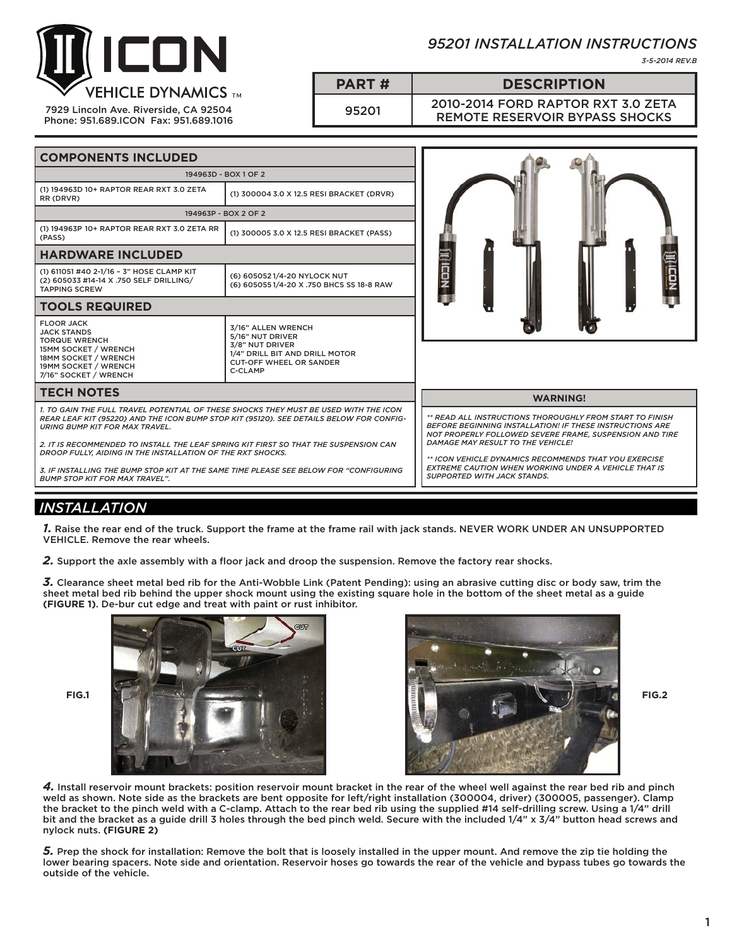

7929 Lincoln Ave. Riverside, CA 92504 Phone: 951.689.ICON Fax: 951.689.1016

# *95201 INSTALLATION INSTRUCTIONS*

*3-5-2014 REV.B*

**PART # DESCRIPTION**

<sup>95201</sup> 2010-2014 FORD RAPTOR RXT 3.0 ZETA REMOTE RESERVOIR BYPASS SHOCKS

| <b>COMPONENTS INCLUDED</b>                                                                                                                                                                                                                                                                                                                                                                                                                                                                                       |                                                                                                                                          |                                                                                                                                                                                                                                                                                                                                                                                           |  |  |  |
|------------------------------------------------------------------------------------------------------------------------------------------------------------------------------------------------------------------------------------------------------------------------------------------------------------------------------------------------------------------------------------------------------------------------------------------------------------------------------------------------------------------|------------------------------------------------------------------------------------------------------------------------------------------|-------------------------------------------------------------------------------------------------------------------------------------------------------------------------------------------------------------------------------------------------------------------------------------------------------------------------------------------------------------------------------------------|--|--|--|
| 194963D - BOX 1 OF 2                                                                                                                                                                                                                                                                                                                                                                                                                                                                                             |                                                                                                                                          |                                                                                                                                                                                                                                                                                                                                                                                           |  |  |  |
| (1) 194963D 10+ RAPTOR REAR RXT 3.0 ZETA<br>RR (DRVR)                                                                                                                                                                                                                                                                                                                                                                                                                                                            | (1) 300004 3.0 X 12.5 RESI BRACKET (DRVR)                                                                                                |                                                                                                                                                                                                                                                                                                                                                                                           |  |  |  |
|                                                                                                                                                                                                                                                                                                                                                                                                                                                                                                                  | 194963P - BOX 2 OF 2                                                                                                                     |                                                                                                                                                                                                                                                                                                                                                                                           |  |  |  |
| (1) 194963P 10+ RAPTOR REAR RXT 3.0 ZETA RR<br>(PASS)                                                                                                                                                                                                                                                                                                                                                                                                                                                            | (1) 300005 3.0 X 12.5 RESI BRACKET (PASS)                                                                                                |                                                                                                                                                                                                                                                                                                                                                                                           |  |  |  |
| <b>HARDWARE INCLUDED</b>                                                                                                                                                                                                                                                                                                                                                                                                                                                                                         |                                                                                                                                          |                                                                                                                                                                                                                                                                                                                                                                                           |  |  |  |
| (1) 611051 #40 2-1/16 - 3" HOSE CLAMP KIT<br>(2) 605033 #14-14 X .750 SELF DRILLING/<br><b>TAPPING SCREW</b>                                                                                                                                                                                                                                                                                                                                                                                                     | (6) 6050521/4-20 NYLOCK NUT<br>(6) 6050551/4-20 X .750 BHCS SS 18-8 RAW                                                                  | III LCOM                                                                                                                                                                                                                                                                                                                                                                                  |  |  |  |
| <b>TOOLS REQUIRED</b>                                                                                                                                                                                                                                                                                                                                                                                                                                                                                            |                                                                                                                                          |                                                                                                                                                                                                                                                                                                                                                                                           |  |  |  |
| <b>FLOOR JACK</b><br><b>JACK STANDS</b><br><b>TORQUE WRENCH</b><br><b>15MM SOCKET / WRENCH</b><br>18MM SOCKET / WRENCH<br>19MM SOCKET / WRENCH<br>7/16" SOCKET / WRENCH                                                                                                                                                                                                                                                                                                                                          | 3/16" ALLEN WRENCH<br>5/16" NUT DRIVER<br>3/8" NUT DRIVER<br>1/4" DRILL BIT AND DRILL MOTOR<br><b>CUT-OFF WHEEL OR SANDER</b><br>C-CLAMP |                                                                                                                                                                                                                                                                                                                                                                                           |  |  |  |
| <b>TECH NOTES</b>                                                                                                                                                                                                                                                                                                                                                                                                                                                                                                |                                                                                                                                          | <b>WARNING!</b>                                                                                                                                                                                                                                                                                                                                                                           |  |  |  |
| 1. TO GAIN THE FULL TRAVEL POTENTIAL OF THESE SHOCKS THEY MUST BE USED WITH THE ICON<br>REAR LEAF KIT (95220) AND THE ICON BUMP STOP KIT (95120). SEE DETAILS BELOW FOR CONFIG-<br><b>URING BUMP KIT FOR MAX TRAVEL.</b><br>2. IT IS RECOMMENDED TO INSTALL THE LEAF SPRING KIT FIRST SO THAT THE SUSPENSION CAN<br>DROOP FULLY, AIDING IN THE INSTALLATION OF THE RXT SHOCKS.<br>3. IF INSTALLING THE BUMP STOP KIT AT THE SAME TIME PLEASE SEE BELOW FOR "CONFIGURING<br><b>BUMP STOP KIT FOR MAX TRAVEL".</b> |                                                                                                                                          | ** READ ALL INSTRUCTIONS THOROUGHLY FROM START TO FINISH<br><b>BEFORE BEGINNING INSTALLATION! IF THESE INSTRUCTIONS ARE</b><br>NOT PROPERLY FOLLOWED SEVERE FRAME, SUSPENSION AND TIRE<br>DAMAGE MAY RESULT TO THE VEHICLE!<br>** ICON VEHICLE DYNAMICS RECOMMENDS THAT YOU EXERCISE<br><b>EXTREME CAUTION WHEN WORKING UNDER A VEHICLE THAT IS</b><br><b>SUPPORTED WITH JACK STANDS.</b> |  |  |  |

# *INSTALLATION*

*1.* Raise the rear end of the truck. Support the frame at the frame rail with jack stands. NEVER WORK UNDER AN UNSUPPORTED VEHICLE. Remove the rear wheels.

*2.* Support the axle assembly with a floor jack and droop the suspension. Remove the factory rear shocks.

*3.* Clearance sheet metal bed rib for the Anti-Wobble Link (Patent Pending): using an abrasive cutting disc or body saw, trim the sheet metal bed rib behind the upper shock mount using the existing square hole in the bottom of the sheet metal as a guide **(FIGURE 1)**. De-bur cut edge and treat with paint or rust inhibitor.





*4.* Install reservoir mount brackets: position reservoir mount bracket in the rear of the wheel well against the rear bed rib and pinch weld as shown. Note side as the brackets are bent opposite for left/right installation (300004, driver) (300005, passenger). Clamp the bracket to the pinch weld with a C-clamp. Attach to the rear bed rib using the supplied #14 self-drilling screw. Using a 1/4" drill bit and the bracket as a guide drill 3 holes through the bed pinch weld. Secure with the included 1/4" x 3/4" button head screws and nylock nuts. **(FIGURE 2)**

*5.* Prep the shock for installation: Remove the bolt that is loosely installed in the upper mount. And remove the zip tie holding the lower bearing spacers. Note side and orientation. Reservoir hoses go towards the rear of the vehicle and bypass tubes go towards the outside of the vehicle.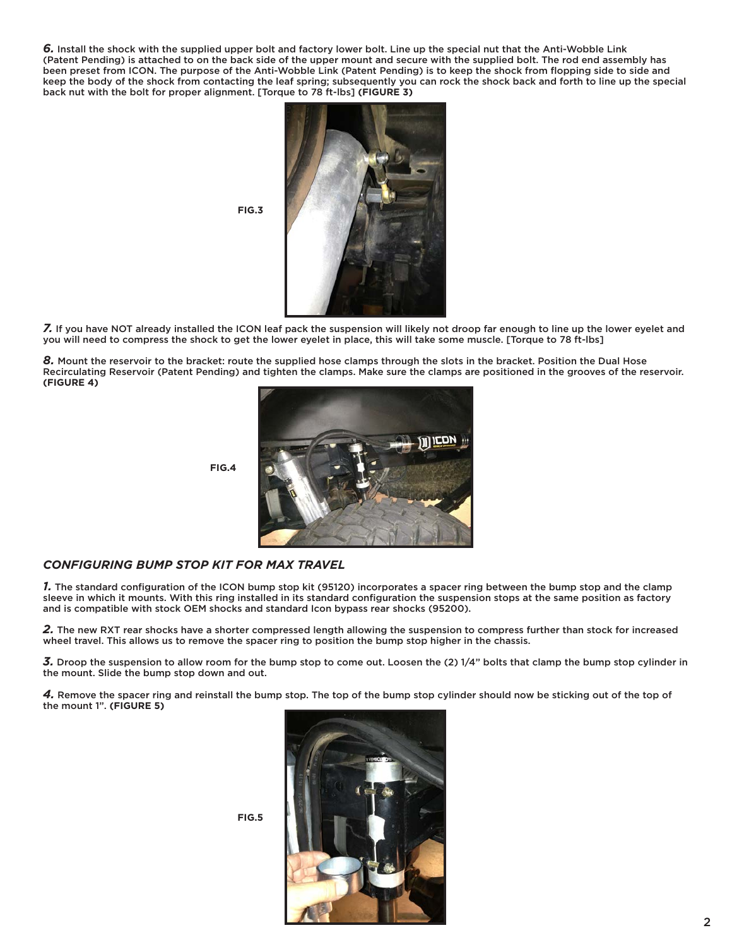*6.* Install the shock with the supplied upper bolt and factory lower bolt. Line up the special nut that the Anti-Wobble Link (Patent Pending) is attached to on the back side of the upper mount and secure with the supplied bolt. The rod end assembly has been preset from ICON. The purpose of the Anti-Wobble Link (Patent Pending) is to keep the shock from flopping side to side and keep the body of the shock from contacting the leaf spring; subsequently you can rock the shock back and forth to line up the special back nut with the bolt for proper alignment. [Torque to 78 ft-lbs] **(FIGURE 3)**



*7.* If you have NOT already installed the ICON leaf pack the suspension will likely not droop far enough to line up the lower eyelet and you will need to compress the shock to get the lower eyelet in place, this will take some muscle. [Torque to 78 ft-lbs]

*8.* Mount the reservoir to the bracket: route the supplied hose clamps through the slots in the bracket. Position the Dual Hose Recirculating Reservoir (Patent Pending) and tighten the clamps. Make sure the clamps are positioned in the grooves of the reservoir. **(FIGURE 4)**



**FIG.4**

**FIG.5**

# *CONFIGURING BUMP STOP KIT FOR MAX TRAVEL*

*1.* The standard configuration of the ICON bump stop kit (95120) incorporates a spacer ring between the bump stop and the clamp sleeve in which it mounts. With this ring installed in its standard configuration the suspension stops at the same position as factory and is compatible with stock OEM shocks and standard Icon bypass rear shocks (95200).

*2.* The new RXT rear shocks have a shorter compressed length allowing the suspension to compress further than stock for increased wheel travel. This allows us to remove the spacer ring to position the bump stop higher in the chassis.

*3.* Droop the suspension to allow room for the bump stop to come out. Loosen the (2) 1/4" bolts that clamp the bump stop cylinder in the mount. Slide the bump stop down and out.

*4.* Remove the spacer ring and reinstall the bump stop. The top of the bump stop cylinder should now be sticking out of the top of the mount 1". **(FIGURE 5)**